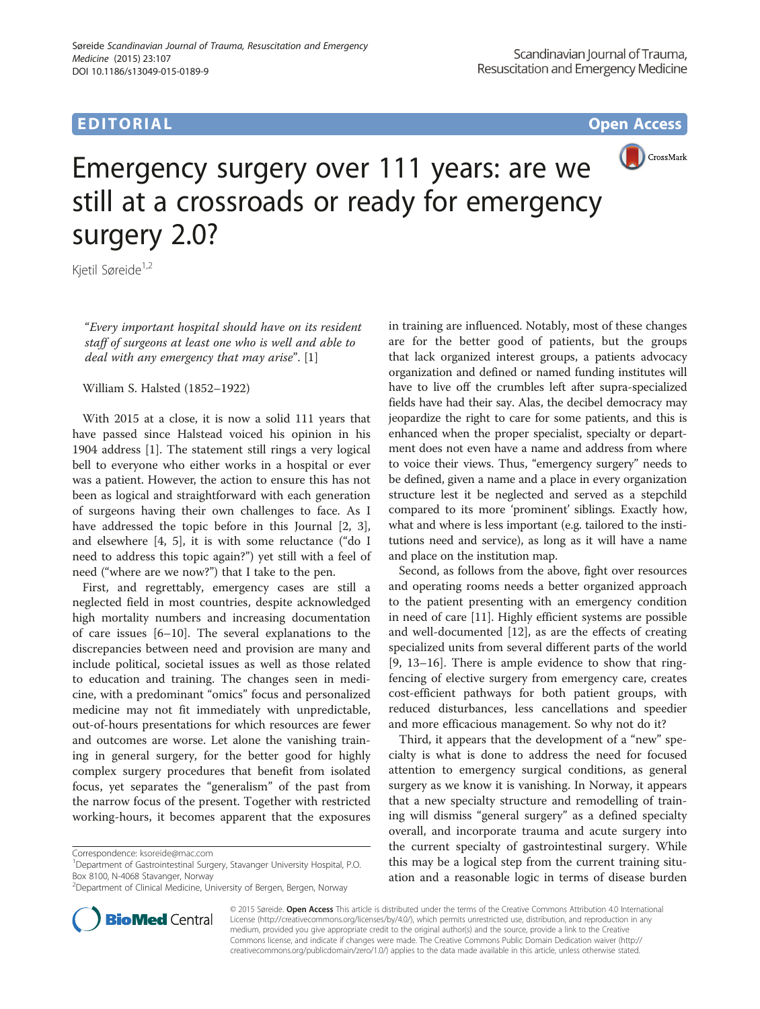# EDITORIAL AND CONTROL CONTROL CONTROL CONTROL CONTROL CONTROL CONTROL CONTROL CONTROL CONTROL CONTROL CONTROL CONTROL CONTROL CONTROL CONTROL CONTROL CONTROL CONTROL CONTROL CONTROL CONTROL CONTROL CONTROL CONTROL CONTROL



# Emergency surgery over 111 years: are we still at a crossroads or ready for emergency surgery 2.0?

Kjetil Søreide<sup>1,2</sup>

"Every important hospital should have on its resident staff of surgeons at least one who is well and able to deal with any emergency that may arise". [\[1](#page-1-0)]

William S. Halsted (1852–1922)

With 2015 at a close, it is now a solid 111 years that have passed since Halstead voiced his opinion in his 1904 address [[1\]](#page-1-0). The statement still rings a very logical bell to everyone who either works in a hospital or ever was a patient. However, the action to ensure this has not been as logical and straightforward with each generation of surgeons having their own challenges to face. As I have addressed the topic before in this Journal [\[2](#page-1-0), [3](#page-1-0)], and elsewhere [[4, 5](#page-1-0)], it is with some reluctance ("do I need to address this topic again?") yet still with a feel of need ("where are we now?") that I take to the pen.

First, and regrettably, emergency cases are still a neglected field in most countries, despite acknowledged high mortality numbers and increasing documentation of care issues [\[6](#page-1-0)–[10\]](#page-1-0). The several explanations to the discrepancies between need and provision are many and include political, societal issues as well as those related to education and training. The changes seen in medicine, with a predominant "omics" focus and personalized medicine may not fit immediately with unpredictable, out-of-hours presentations for which resources are fewer and outcomes are worse. Let alone the vanishing training in general surgery, for the better good for highly complex surgery procedures that benefit from isolated focus, yet separates the "generalism" of the past from the narrow focus of the present. Together with restricted working-hours, it becomes apparent that the exposures



Second, as follows from the above, fight over resources and operating rooms needs a better organized approach to the patient presenting with an emergency condition in need of care [\[11\]](#page-1-0). Highly efficient systems are possible and well-documented [\[12\]](#page-1-0), as are the effects of creating specialized units from several different parts of the world [[9, 13](#page-1-0)–[16\]](#page-1-0). There is ample evidence to show that ringfencing of elective surgery from emergency care, creates cost-efficient pathways for both patient groups, with reduced disturbances, less cancellations and speedier and more efficacious management. So why not do it?

Third, it appears that the development of a "new" specialty is what is done to address the need for focused attention to emergency surgical conditions, as general surgery as we know it is vanishing. In Norway, it appears that a new specialty structure and remodelling of training will dismiss "general surgery" as a defined specialty overall, and incorporate trauma and acute surgery into the current specialty of gastrointestinal surgery. While this may be a logical step from the current training situation and a reasonable logic in terms of disease burden



© 2015 Søreide. Open Access This article is distributed under the terms of the Creative Commons Attribution 4.0 International License ([http://creativecommons.org/licenses/by/4.0/\)](http://creativecommons.org/licenses/by/4.0/), which permits unrestricted use, distribution, and reproduction in any medium, provided you give appropriate credit to the original author(s) and the source, provide a link to the Creative Commons license, and indicate if changes were made. The Creative Commons Public Domain Dedication waiver ([http://](http://creativecommons.org/publicdomain/zero/1.0/) [creativecommons.org/publicdomain/zero/1.0/\)](http://creativecommons.org/publicdomain/zero/1.0/) applies to the data made available in this article, unless otherwise stated.

Correspondence: [ksoreide@mac.com](mailto:ksoreide@mac.com) <sup>1</sup>

<sup>&</sup>lt;sup>1</sup>Department of Gastrointestinal Surgery, Stavanger University Hospital, P.O. Box 8100, N-4068 Stavanger, Norway

<sup>2</sup> Department of Clinical Medicine, University of Bergen, Bergen, Norway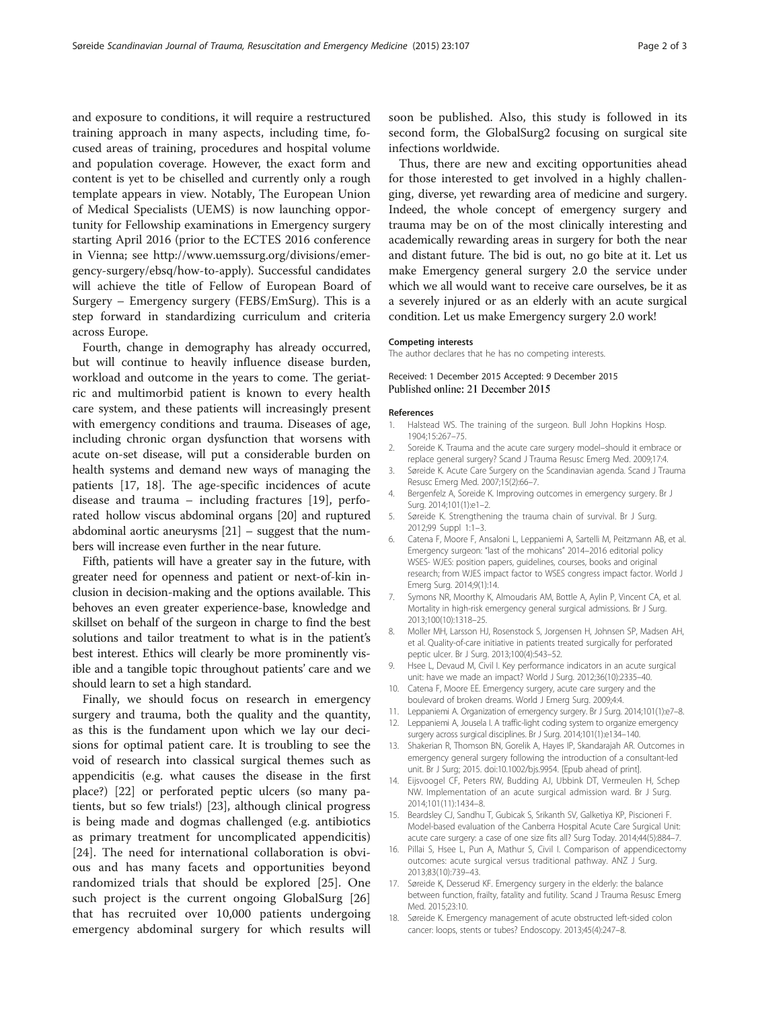<span id="page-1-0"></span>and exposure to conditions, it will require a restructured training approach in many aspects, including time, focused areas of training, procedures and hospital volume and population coverage. However, the exact form and content is yet to be chiselled and currently only a rough template appears in view. Notably, The European Union of Medical Specialists (UEMS) is now launching opportunity for Fellowship examinations in Emergency surgery starting April 2016 (prior to the ECTES 2016 conference in Vienna; see [http://www.uemssurg.org/divisions/emer](http://www.uemssurg.org/divisions/emergency-surgery/ebsq/how-to-apply)[gency-surgery/ebsq/how-to-apply\)](http://www.uemssurg.org/divisions/emergency-surgery/ebsq/how-to-apply). Successful candidates will achieve the title of Fellow of European Board of Surgery – Emergency surgery (FEBS/EmSurg). This is a step forward in standardizing curriculum and criteria across Europe.

Fourth, change in demography has already occurred, but will continue to heavily influence disease burden, workload and outcome in the years to come. The geriatric and multimorbid patient is known to every health care system, and these patients will increasingly present with emergency conditions and trauma. Diseases of age, including chronic organ dysfunction that worsens with acute on-set disease, will put a considerable burden on health systems and demand new ways of managing the patients [17, 18]. The age-specific incidences of acute disease and trauma – including fractures [[19\]](#page-2-0), perforated hollow viscus abdominal organs [\[20\]](#page-2-0) and ruptured abdominal aortic aneurysms [[21](#page-2-0)] – suggest that the numbers will increase even further in the near future.

Fifth, patients will have a greater say in the future, with greater need for openness and patient or next-of-kin inclusion in decision-making and the options available. This behoves an even greater experience-base, knowledge and skillset on behalf of the surgeon in charge to find the best solutions and tailor treatment to what is in the patient's best interest. Ethics will clearly be more prominently visible and a tangible topic throughout patients' care and we should learn to set a high standard.

Finally, we should focus on research in emergency surgery and trauma, both the quality and the quantity, as this is the fundament upon which we lay our decisions for optimal patient care. It is troubling to see the void of research into classical surgical themes such as appendicitis (e.g. what causes the disease in the first place?) [\[22\]](#page-2-0) or perforated peptic ulcers (so many patients, but so few trials!) [\[23](#page-2-0)], although clinical progress is being made and dogmas challenged (e.g. antibiotics as primary treatment for uncomplicated appendicitis) [[24\]](#page-2-0). The need for international collaboration is obvious and has many facets and opportunities beyond randomized trials that should be explored [[25](#page-2-0)]. One such project is the current ongoing GlobalSurg [\[26](#page-2-0)] that has recruited over 10,000 patients undergoing emergency abdominal surgery for which results will

soon be published. Also, this study is followed in its second form, the GlobalSurg2 focusing on surgical site infections worldwide.

Thus, there are new and exciting opportunities ahead for those interested to get involved in a highly challenging, diverse, yet rewarding area of medicine and surgery. Indeed, the whole concept of emergency surgery and trauma may be on of the most clinically interesting and academically rewarding areas in surgery for both the near and distant future. The bid is out, no go bite at it. Let us make Emergency general surgery 2.0 the service under which we all would want to receive care ourselves, be it as a severely injured or as an elderly with an acute surgical condition. Let us make Emergency surgery 2.0 work!

The author declares that he has no competing interests.

## Received: 1 December 2015 Accepted: 9 December 2015 Published online: 21 December 2015

- 1. Halstead WS. The training of the surgeon. Bull John Hopkins Hosp. 1904;15:267–75.
- 2. Soreide K. Trauma and the acute care surgery model–should it embrace or replace general surgery? Scand J Trauma Resusc Emerg Med. 2009;17:4.
- 3. Søreide K. Acute Care Surgery on the Scandinavian agenda. Scand J Trauma Resusc Emerg Med. 2007;15(2):66–7.
- 4. Bergenfelz A, Soreide K. Improving outcomes in emergency surgery. Br J Surg. 2014;101(1):e1–2.
- 5. Søreide K. Strengthening the trauma chain of survival. Br J Surg. 2012;99 Suppl 1:1–3.
- 6. Catena F, Moore F, Ansaloni L, Leppaniemi A, Sartelli M, Peitzmann AB, et al. Emergency surgeon: "last of the mohicans" 2014–2016 editorial policy WSES- WJES: position papers, quidelines, courses, books and original research; from WJES impact factor to WSES congress impact factor. World J Emerg Surg. 2014;9(1):14.
- 7. Symons NR, Moorthy K, Almoudaris AM, Bottle A, Aylin P, Vincent CA, et al. Mortality in high-risk emergency general surgical admissions. Br J Surg. 2013;100(10):1318–25.
- 8. Moller MH, Larsson HJ, Rosenstock S, Jorgensen H, Johnsen SP, Madsen AH, et al. Quality-of-care initiative in patients treated surgically for perforated peptic ulcer. Br J Surg. 2013;100(4):543–52.
- 9. Hsee L, Devaud M, Civil I. Key performance indicators in an acute surgical unit: have we made an impact? World J Surg. 2012;36(10):2335–40.
- 10. Catena F, Moore EE. Emergency surgery, acute care surgery and the boulevard of broken dreams. World J Emerg Surg. 2009;4:4.
- 11. Leppaniemi A. Organization of emergency surgery. Br J Surg. 2014;101(1):e7–8. 12. Leppaniemi A, Jousela I. A traffic-light coding system to organize emergency
- surgery across surgical disciplines. Br J Surg. 2014;101(1):e134–140.
- 13. Shakerian R, Thomson BN, Gorelik A, Hayes IP, Skandarajah AR. Outcomes in emergency general surgery following the introduction of a consultant-led unit. Br J Surg; 2015. doi[:10.1002/bjs.9954.](http://dx.doi.org/10.1002/bjs.9954) [Epub ahead of print].
- 14. Eijsvoogel CF, Peters RW, Budding AJ, Ubbink DT, Vermeulen H, Schep NW. Implementation of an acute surgical admission ward. Br J Surg. 2014;101(11):1434–8.
- 15. Beardsley CJ, Sandhu T, Gubicak S, Srikanth SV, Galketiya KP, Piscioneri F. Model-based evaluation of the Canberra Hospital Acute Care Surgical Unit: acute care surgery: a case of one size fits all? Surg Today. 2014;44(5):884–7.
- 16. Pillai S, Hsee L, Pun A, Mathur S, Civil I. Comparison of appendicectomy outcomes: acute surgical versus traditional pathway. ANZ J Surg. 2013;83(10):739–43.
- 17. Søreide K, Desserud KF. Emergency surgery in the elderly: the balance between function, frailty, fatality and futility. Scand J Trauma Resusc Emerg Med. 2015;23:10.
- 18. Søreide K. Emergency management of acute obstructed left-sided colon cancer: loops, stents or tubes? Endoscopy. 2013;45(4):247–8.